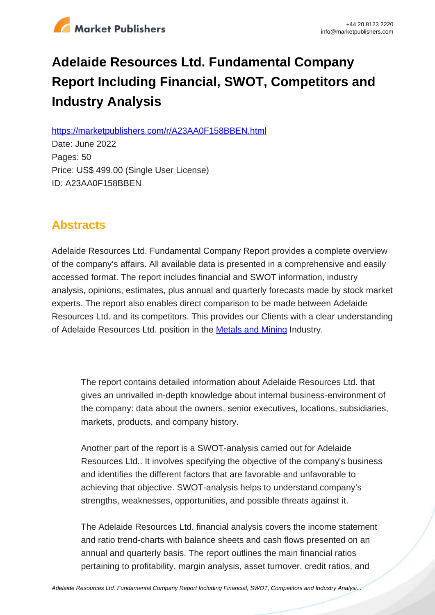

# **Adelaide Resources Ltd. Fundamental Company Report Including Financial, SWOT, Competitors and Industry Analysis**

https://marketpublishers.com/r/A23AA0F158BBEN.html

Date: June 2022 Pages: 50 Price: US\$ 499.00 (Single User License) ID: A23AA0F158BBEN

## **Abstracts**

Adelaide Resources Ltd. Fundamental Company Report provides a complete overview of the company's affairs. All available data is presented in a comprehensive and easily accessed format. The report includes financial and SWOT information, industry analysis, opinions, estimates, plus annual and quarterly forecasts made by stock market experts. The report also enables direct comparison to be made between Adelaide Resources Ltd. and its competitors. This provides our Clients with a clear understanding of Adelaide Resources Ltd. position in the **[Metals and Mining](/report/australia_metals_mining_analysis_bac.html) Industry.** 

The report contains detailed information about Adelaide Resources Ltd. that gives an unrivalled in-depth knowledge about internal business-environment of the company: data about the owners, senior executives, locations, subsidiaries, markets, products, and company history.

Another part of the report is a SWOT-analysis carried out for Adelaide Resources Ltd.. It involves specifying the objective of the company's business and identifies the different factors that are favorable and unfavorable to achieving that objective. SWOT-analysis helps to understand company's strengths, weaknesses, opportunities, and possible threats against it.

The Adelaide Resources Ltd. financial analysis covers the income statement and ratio trend-charts with balance sheets and cash flows presented on an annual and quarterly basis. The report outlines the main financial ratios pertaining to profitability, margin analysis, asset turnover, credit ratios, and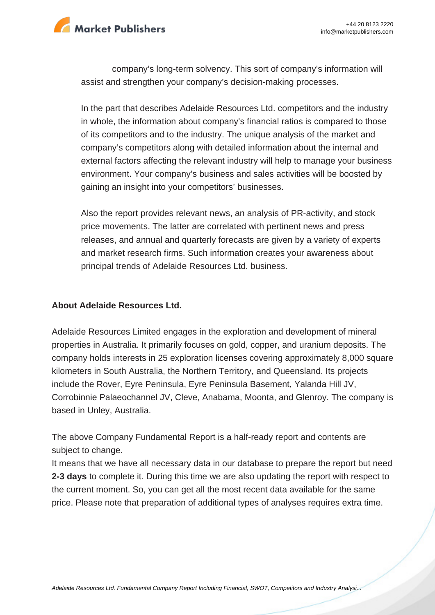

company's long-term solvency. This sort of company's information will assist and strengthen your company's decision-making processes.

In the part that describes Adelaide Resources Ltd. competitors and the industry in whole, the information about company's financial ratios is compared to those of its competitors and to the industry. The unique analysis of the market and company's competitors along with detailed information about the internal and external factors affecting the relevant industry will help to manage your business environment. Your company's business and sales activities will be boosted by gaining an insight into your competitors' businesses.

Also the report provides relevant news, an analysis of PR-activity, and stock price movements. The latter are correlated with pertinent news and press releases, and annual and quarterly forecasts are given by a variety of experts and market research firms. Such information creates your awareness about principal trends of Adelaide Resources Ltd. business.

#### **About Adelaide Resources Ltd.**

Adelaide Resources Limited engages in the exploration and development of mineral properties in Australia. It primarily focuses on gold, copper, and uranium deposits. The company holds interests in 25 exploration licenses covering approximately 8,000 square kilometers in South Australia, the Northern Territory, and Queensland. Its projects include the Rover, Eyre Peninsula, Eyre Peninsula Basement, Yalanda Hill JV, Corrobinnie Palaeochannel JV, Cleve, Anabama, Moonta, and Glenroy. The company is based in Unley, Australia.

The above Company Fundamental Report is a half-ready report and contents are subject to change.

It means that we have all necessary data in our database to prepare the report but need **2-3 days** to complete it. During this time we are also updating the report with respect to the current moment. So, you can get all the most recent data available for the same price. Please note that preparation of additional types of analyses requires extra time.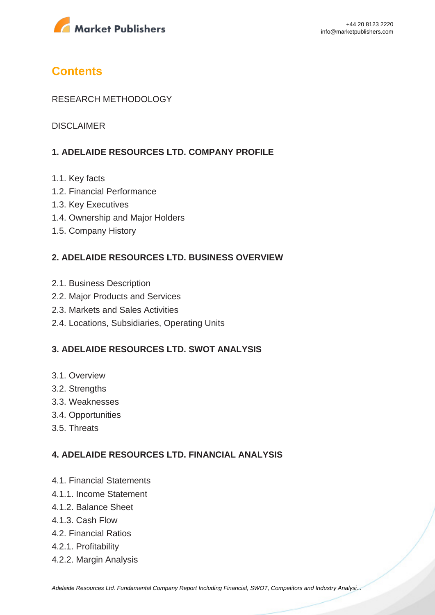

## **Contents**

### RESEARCH METHODOLOGY

DISCLAIMER

## **1. ADELAIDE RESOURCES LTD. COMPANY PROFILE**

- 1.1. Key facts
- 1.2. Financial Performance
- 1.3. Key Executives
- 1.4. Ownership and Major Holders
- 1.5. Company History

### **2. ADELAIDE RESOURCES LTD. BUSINESS OVERVIEW**

- 2.1. Business Description
- 2.2. Major Products and Services
- 2.3. Markets and Sales Activities
- 2.4. Locations, Subsidiaries, Operating Units

### **3. ADELAIDE RESOURCES LTD. SWOT ANALYSIS**

- 3.1. Overview
- 3.2. Strengths
- 3.3. Weaknesses
- 3.4. Opportunities
- 3.5. Threats

#### **4. ADELAIDE RESOURCES LTD. FINANCIAL ANALYSIS**

- 4.1. Financial Statements
- 4.1.1. Income Statement
- 4.1.2. Balance Sheet
- 4.1.3. Cash Flow
- 4.2. Financial Ratios
- 4.2.1. Profitability
- 4.2.2. Margin Analysis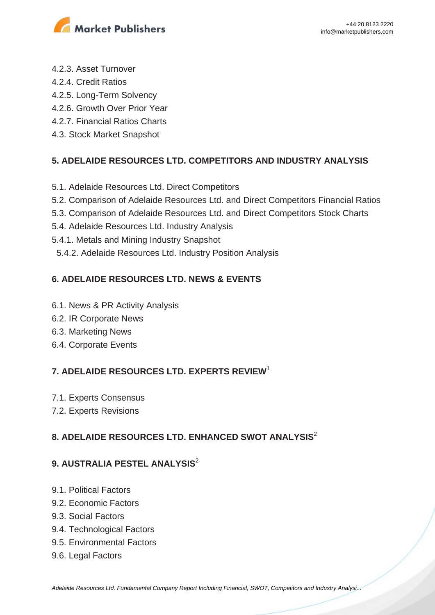

- 4.2.3. Asset Turnover
- 4.2.4. Credit Ratios
- 4.2.5. Long-Term Solvency
- 4.2.6. Growth Over Prior Year
- 4.2.7. Financial Ratios Charts
- 4.3. Stock Market Snapshot

## **5. ADELAIDE RESOURCES LTD. COMPETITORS AND INDUSTRY ANALYSIS**

- 5.1. Adelaide Resources Ltd. Direct Competitors
- 5.2. Comparison of Adelaide Resources Ltd. and Direct Competitors Financial Ratios
- 5.3. Comparison of Adelaide Resources Ltd. and Direct Competitors Stock Charts
- 5.4. Adelaide Resources Ltd. Industry Analysis
- 5.4.1. Metals and Mining Industry Snapshot
- 5.4.2. Adelaide Resources Ltd. Industry Position Analysis

## **6. ADELAIDE RESOURCES LTD. NEWS & EVENTS**

- 6.1. News & PR Activity Analysis
- 6.2. IR Corporate News
- 6.3. Marketing News
- 6.4. Corporate Events

## **7. ADELAIDE RESOURCES LTD. EXPERTS REVIEW**<sup>1</sup>

- 7.1. Experts Consensus
- 7.2. Experts Revisions

## **8. ADELAIDE RESOURCES LTD. ENHANCED SWOT ANALYSIS**<sup>2</sup>

## **9. AUSTRALIA PESTEL ANALYSIS**<sup>2</sup>

- 9.1. Political Factors
- 9.2. Economic Factors
- 9.3. Social Factors
- 9.4. Technological Factors
- 9.5. Environmental Factors
- 9.6. Legal Factors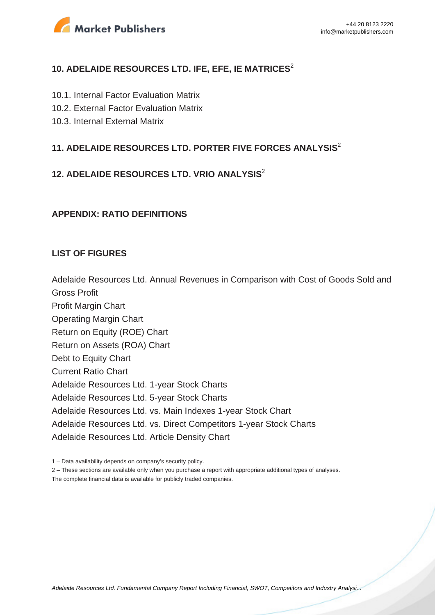

## **10. ADELAIDE RESOURCES LTD. IFE, EFE, IE MATRICES**<sup>2</sup>

- 10.1. Internal Factor Evaluation Matrix
- 10.2. External Factor Evaluation Matrix
- 10.3. Internal External Matrix

## **11. ADELAIDE RESOURCES LTD. PORTER FIVE FORCES ANALYSIS**<sup>2</sup>

## **12. ADELAIDE RESOURCES LTD. VRIO ANALYSIS**<sup>2</sup>

#### **APPENDIX: RATIO DEFINITIONS**

#### **LIST OF FIGURES**

Adelaide Resources Ltd. Annual Revenues in Comparison with Cost of Goods Sold and Gross Profit

Profit Margin Chart Operating Margin Chart Return on Equity (ROE) Chart Return on Assets (ROA) Chart Debt to Equity Chart Current Ratio Chart Adelaide Resources Ltd. 1-year Stock Charts Adelaide Resources Ltd. 5-year Stock Charts Adelaide Resources Ltd. vs. Main Indexes 1-year Stock Chart Adelaide Resources Ltd. vs. Direct Competitors 1-year Stock Charts Adelaide Resources Ltd. Article Density Chart

1 – Data availability depends on company's security policy.

2 – These sections are available only when you purchase a report with appropriate additional types of analyses.

The complete financial data is available for publicly traded companies.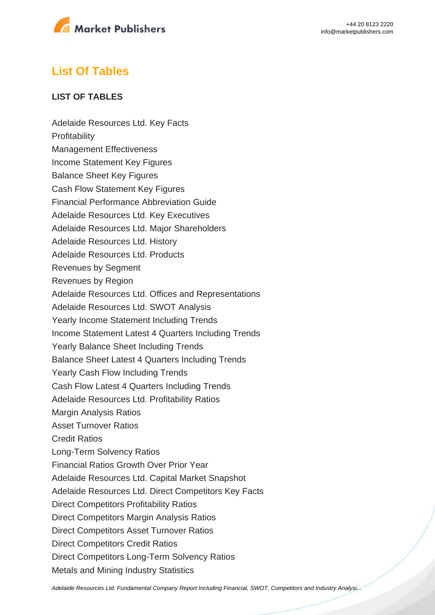

## **List Of Tables**

### **LIST OF TABLES**

Adelaide Resources Ltd. Key Facts **Profitability** Management Effectiveness Income Statement Key Figures Balance Sheet Key Figures Cash Flow Statement Key Figures Financial Performance Abbreviation Guide Adelaide Resources Ltd. Key Executives Adelaide Resources Ltd. Major Shareholders Adelaide Resources Ltd. History Adelaide Resources Ltd. Products Revenues by Segment Revenues by Region Adelaide Resources Ltd. Offices and Representations Adelaide Resources Ltd. SWOT Analysis Yearly Income Statement Including Trends Income Statement Latest 4 Quarters Including Trends Yearly Balance Sheet Including Trends Balance Sheet Latest 4 Quarters Including Trends Yearly Cash Flow Including Trends Cash Flow Latest 4 Quarters Including Trends Adelaide Resources Ltd. Profitability Ratios Margin Analysis Ratios Asset Turnover Ratios Credit Ratios Long-Term Solvency Ratios Financial Ratios Growth Over Prior Year Adelaide Resources Ltd. Capital Market Snapshot Adelaide Resources Ltd. Direct Competitors Key Facts Direct Competitors Profitability Ratios Direct Competitors Margin Analysis Ratios Direct Competitors Asset Turnover Ratios Direct Competitors Credit Ratios Direct Competitors Long-Term Solvency Ratios Metals and Mining Industry Statistics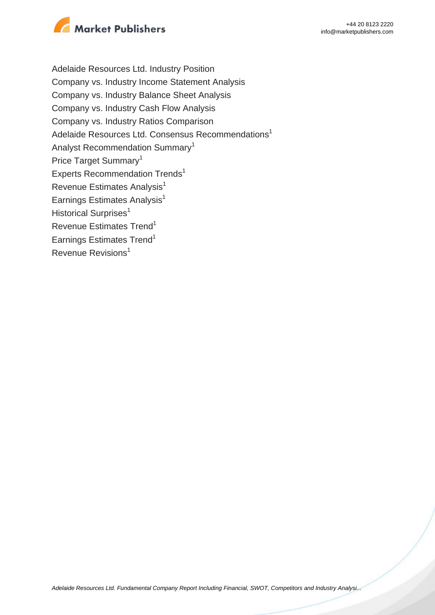

Adelaide Resources Ltd. Industry Position Company vs. Industry Income Statement Analysis Company vs. Industry Balance Sheet Analysis Company vs. Industry Cash Flow Analysis Company vs. Industry Ratios Comparison Adelaide Resources Ltd. Consensus Recommendations<sup>1</sup> Analyst Recommendation Summary<sup>1</sup> Price Target Summary<sup>1</sup> Experts Recommendation Trends<sup>1</sup> Revenue Estimates Analysis<sup>1</sup> Earnings Estimates Analysis $<sup>1</sup>$ </sup> Historical Surprises<sup>1</sup> Revenue Estimates Trend<sup>1</sup> Earnings Estimates Trend<sup>1</sup> Revenue Revisions<sup>1</sup>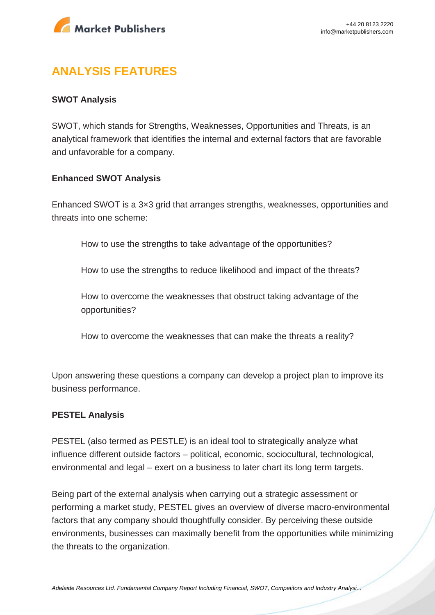

## **ANALYSIS FEATURES**

### **SWOT Analysis**

SWOT, which stands for Strengths, Weaknesses, Opportunities and Threats, is an analytical framework that identifies the internal and external factors that are favorable and unfavorable for a company.

#### **Enhanced SWOT Analysis**

Enhanced SWOT is a 3×3 grid that arranges strengths, weaknesses, opportunities and threats into one scheme:

How to use the strengths to take advantage of the opportunities?

How to use the strengths to reduce likelihood and impact of the threats?

How to overcome the weaknesses that obstruct taking advantage of the opportunities?

How to overcome the weaknesses that can make the threats a reality?

Upon answering these questions a company can develop a project plan to improve its business performance.

#### **PESTEL Analysis**

PESTEL (also termed as PESTLE) is an ideal tool to strategically analyze what influence different outside factors – political, economic, sociocultural, technological, environmental and legal – exert on a business to later chart its long term targets.

Being part of the external analysis when carrying out a strategic assessment or performing a market study, PESTEL gives an overview of diverse macro-environmental factors that any company should thoughtfully consider. By perceiving these outside environments, businesses can maximally benefit from the opportunities while minimizing the threats to the organization.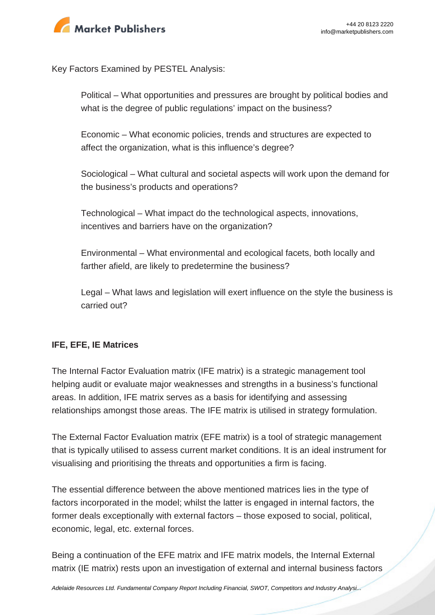

Key Factors Examined by PESTEL Analysis:

Political – What opportunities and pressures are brought by political bodies and what is the degree of public regulations' impact on the business?

Economic – What economic policies, trends and structures are expected to affect the organization, what is this influence's degree?

Sociological – What cultural and societal aspects will work upon the demand for the business's products and operations?

Technological – What impact do the technological aspects, innovations, incentives and barriers have on the organization?

Environmental – What environmental and ecological facets, both locally and farther afield, are likely to predetermine the business?

Legal – What laws and legislation will exert influence on the style the business is carried out?

## **IFE, EFE, IE Matrices**

The Internal Factor Evaluation matrix (IFE matrix) is a strategic management tool helping audit or evaluate major weaknesses and strengths in a business's functional areas. In addition, IFE matrix serves as a basis for identifying and assessing relationships amongst those areas. The IFE matrix is utilised in strategy formulation.

The External Factor Evaluation matrix (EFE matrix) is a tool of strategic management that is typically utilised to assess current market conditions. It is an ideal instrument for visualising and prioritising the threats and opportunities a firm is facing.

The essential difference between the above mentioned matrices lies in the type of factors incorporated in the model; whilst the latter is engaged in internal factors, the former deals exceptionally with external factors – those exposed to social, political, economic, legal, etc. external forces.

Being a continuation of the EFE matrix and IFE matrix models, the Internal External matrix (IE matrix) rests upon an investigation of external and internal business factors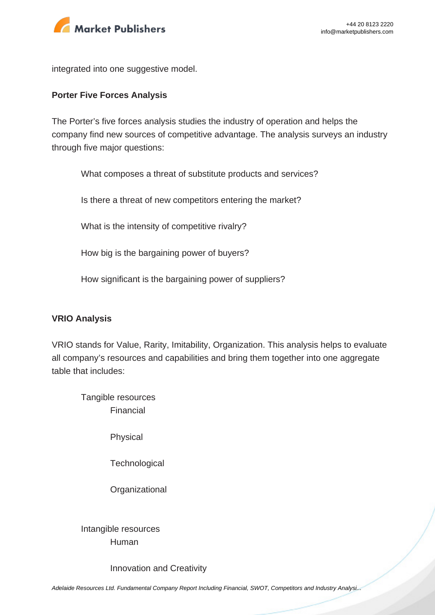

integrated into one suggestive model.

#### **Porter Five Forces Analysis**

The Porter's five forces analysis studies the industry of operation and helps the company find new sources of competitive advantage. The analysis surveys an industry through five major questions:

What composes a threat of substitute products and services?

Is there a threat of new competitors entering the market?

What is the intensity of competitive rivalry?

How big is the bargaining power of buyers?

How significant is the bargaining power of suppliers?

#### **VRIO Analysis**

VRIO stands for Value, Rarity, Imitability, Organization. This analysis helps to evaluate all company's resources and capabilities and bring them together into one aggregate table that includes:

Tangible resources Financial

Physical

**Technological** 

**Organizational** 

Intangible resources Human

Innovation and Creativity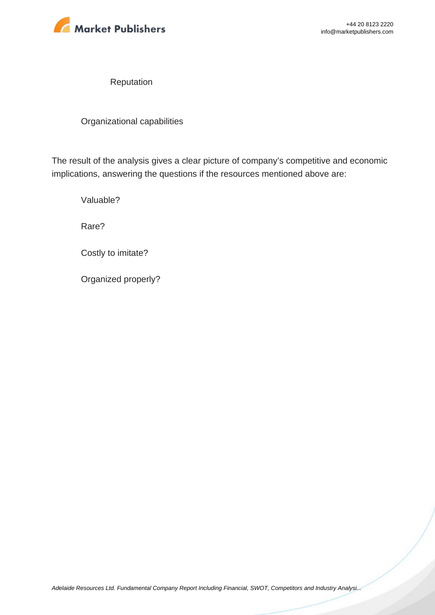

Reputation

Organizational capabilities

The result of the analysis gives a clear picture of company's competitive and economic implications, answering the questions if the resources mentioned above are:

Valuable?

Rare?

Costly to imitate?

Organized properly?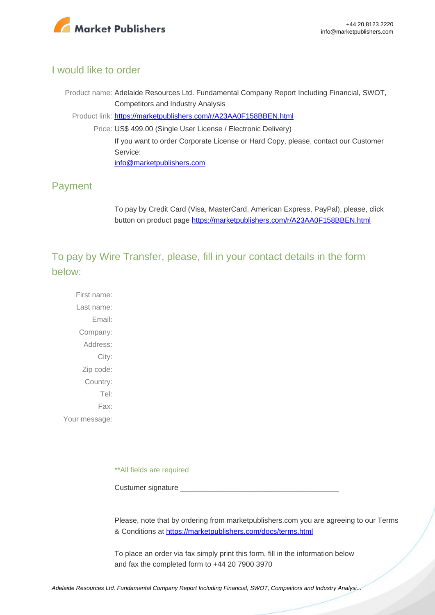

## I would like to order

Product name: Adelaide Resources Ltd. Fundamental Company Report Including Financial, SWOT, Competitors and Industry Analysis Product link: [https://marketpublishers.com/r/A23AA0F158BBEN.html](https://marketpublishers.com/report/industry/metallurgy/adelaide_resources_ltd_swot_analysis_bac.html) Price: US\$ 499.00 (Single User License / Electronic Delivery) If you want to order Corporate License or Hard Copy, please, contact our Customer Service:

[info@marketpublishers.com](mailto:info@marketpublishers.com)

## Payment

To pay by Credit Card (Visa, MasterCard, American Express, PayPal), please, click button on product page [https://marketpublishers.com/r/A23AA0F158BBEN.html](https://marketpublishers.com/report/industry/metallurgy/adelaide_resources_ltd_swot_analysis_bac.html)

To pay by Wire Transfer, please, fill in your contact details in the form below:

First name: Last name: Email: Company: Address: City: Zip code: Country: Tel: Fax: Your message:

\*\*All fields are required

Custumer signature

Please, note that by ordering from marketpublishers.com you are agreeing to our Terms & Conditions at<https://marketpublishers.com/docs/terms.html>

To place an order via fax simply print this form, fill in the information below and fax the completed form to +44 20 7900 3970